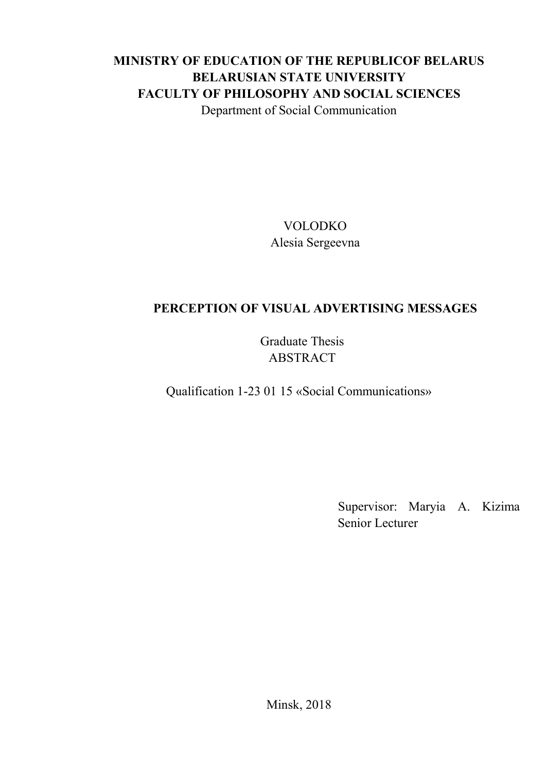## **MINISTRY OF EDUCATION OF THE REPUBLICOF BELARUS BELARUSIAN STATE UNIVERSITY FACULTY OF PHILOSOPHY AND SOCIAL SCIENCES** Department of Social Communication

VOLODKO Alesia Sergeevna

## **PERCEPTION OF VISUAL ADVERTISING MESSAGES**

Graduate Thesis ABSTRACT

Qualification 1-23 01 15 «Social Communications»

Supervisor: Maryia A. Kizima Senior Lecturer